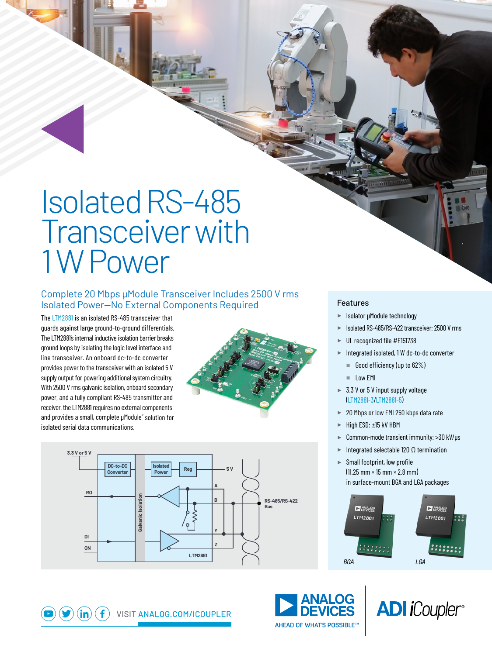# Isolated RS-485 Transceiver with 1 W Power

### Complete 20 Mbps μModule Transceiver Includes 2500 V rms Isolated Power—No External Components Required

The [LTM2881](https://www.analog.com/LTM2881) is an isolated RS-485 transceiver that guards against large ground-to-ground differentials. The LTM2881's internal inductive isolation barrier breaks ground loops by isolating the logic level interface and line transceiver. An onboard dc-to-dc converter provides power to the transceiver with an isolated 5 V supply output for powering additional system circuitry. With 2500 V rms galvanic isolation, onboard secondary power, and a fully compliant RS-485 transmitter and receiver, the LTM2881 requires no external components and provides a small, complete μModule® solution for isolated serial data communications.





#### Features

- ► Isolator μModule technology
- ► Isolated RS-485/RS-422 transceiver: 2500 V rms
- ► UL recognized file #E151738
- ► Integrated isolated, 1 W dc-to-dc converter
	- Good efficiency (up to 62%)
	- Low EMI
- ► 3.3 V or 5 V input supply voltage ([LTM2881-3/LTM2881-5](https://www.analog.com/LTM2881))
- ► 20 Mbps or low EMI 250 kbps data rate
- ► High ESD: ±15 kV HBM
- ► Common-mode transient immunity: >30 kV/μs
- $\blacktriangleright$  Integrated selectable 120  $\Omega$  termination
- ► Small footprint, low profile  $(11.25 \, \text{mm} \times 15 \, \text{mm} \times 2.8 \, \text{mm})$ in surface-mount BGA and LGA packages







 $\mathbf{f}$ VISIT [ANALOG.COM/ICOUPLER](https://analog.com/ICoupler)  $\mathsf{(in)}$